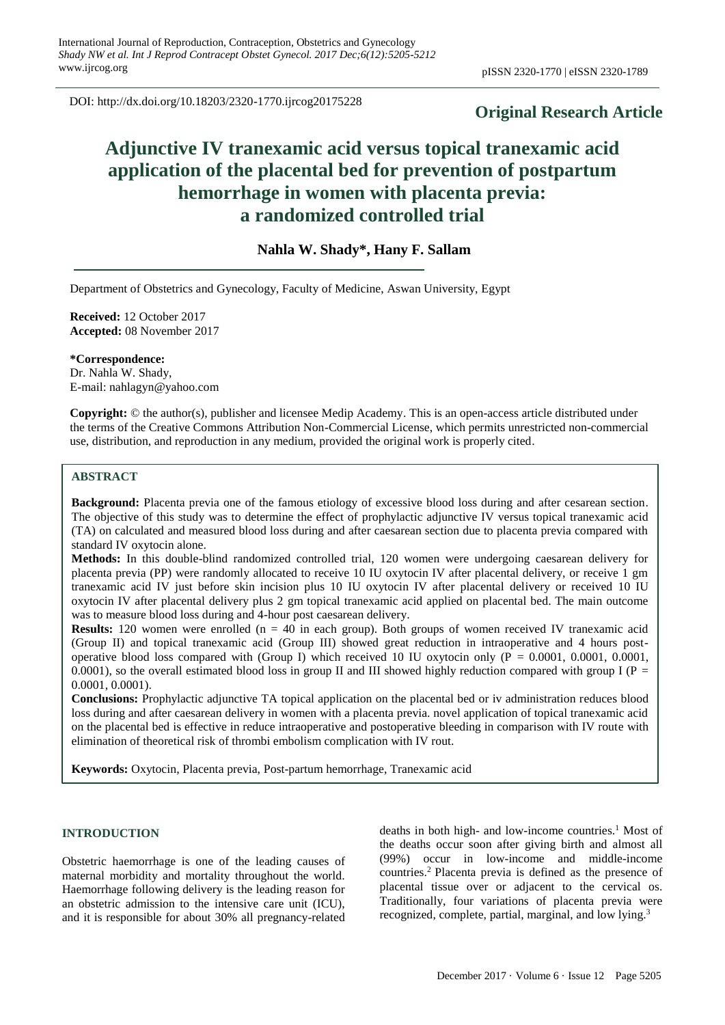DOI: http://dx.doi.org/10.18203/2320-1770.ijrcog20175228

# **Original Research Article**

# **Adjunctive IV tranexamic acid versus topical tranexamic acid application of the placental bed for prevention of postpartum hemorrhage in women with placenta previa: a randomized controlled trial**

# **Nahla W. Shady\*, Hany F. Sallam**

Department of Obstetrics and Gynecology, Faculty of Medicine, Aswan University, Egypt

**Received:** 12 October 2017 **Accepted:** 08 November 2017

**\*Correspondence:** Dr. Nahla W. Shady, E-mail: nahlagyn@yahoo.com

**Copyright:** © the author(s), publisher and licensee Medip Academy. This is an open-access article distributed under the terms of the Creative Commons Attribution Non-Commercial License, which permits unrestricted non-commercial use, distribution, and reproduction in any medium, provided the original work is properly cited.

# **ABSTRACT**

**Background:** Placenta previa one of the famous etiology of excessive blood loss during and after cesarean section. The objective of this study was to determine the effect of prophylactic adjunctive IV versus topical tranexamic acid (TA) on calculated and measured blood loss during and after caesarean section due to placenta previa compared with standard IV oxytocin alone.

**Methods:** In this double-blind randomized controlled trial, 120 women were undergoing caesarean delivery for placenta previa (PP) were randomly allocated to receive 10 IU oxytocin IV after placental delivery, or receive 1 gm tranexamic acid IV just before skin incision plus 10 IU oxytocin IV after placental delivery or received 10 IU oxytocin IV after placental delivery plus 2 gm topical tranexamic acid applied on placental bed. The main outcome was to measure blood loss during and 4-hour post caesarean delivery.

**Results:** 120 women were enrolled (n = 40 in each group). Both groups of women received IV tranexamic acid (Group II) and topical tranexamic acid (Group III) showed great reduction in intraoperative and 4 hours postoperative blood loss compared with (Group I) which received 10 IU oxytocin only (P = 0.0001, 0.0001, 0.0001, 0.0001), so the overall estimated blood loss in group II and III showed highly reduction compared with group I ( $P =$ 0.0001, 0.0001).

**Conclusions:** Prophylactic adjunctive TA topical application on the placental bed or iv administration reduces blood loss during and after caesarean delivery in women with a placenta previa. novel application of topical tranexamic acid on the placental bed is effective in reduce intraoperative and postoperative bleeding in comparison with IV route with elimination of theoretical risk of thrombi embolism complication with IV rout.

**Keywords:** Oxytocin, Placenta previa, Post-partum hemorrhage, Tranexamic acid

#### **INTRODUCTION**

Obstetric haemorrhage is one of the leading causes of maternal morbidity and mortality throughout the world. Haemorrhage following delivery is the leading reason for an obstetric admission to the intensive care unit (ICU), and it is responsible for about 30% all pregnancy-related deaths in both high- and low-income countries.<sup>1</sup> Most of the deaths occur soon after giving birth and almost all (99%) occur in low-income and middle-income countries.<sup>2</sup> Placenta previa is defined as the presence of placental tissue over or adjacent to the cervical os. Traditionally, four variations of placenta previa were recognized, complete, partial, marginal, and low lying.<sup>3</sup>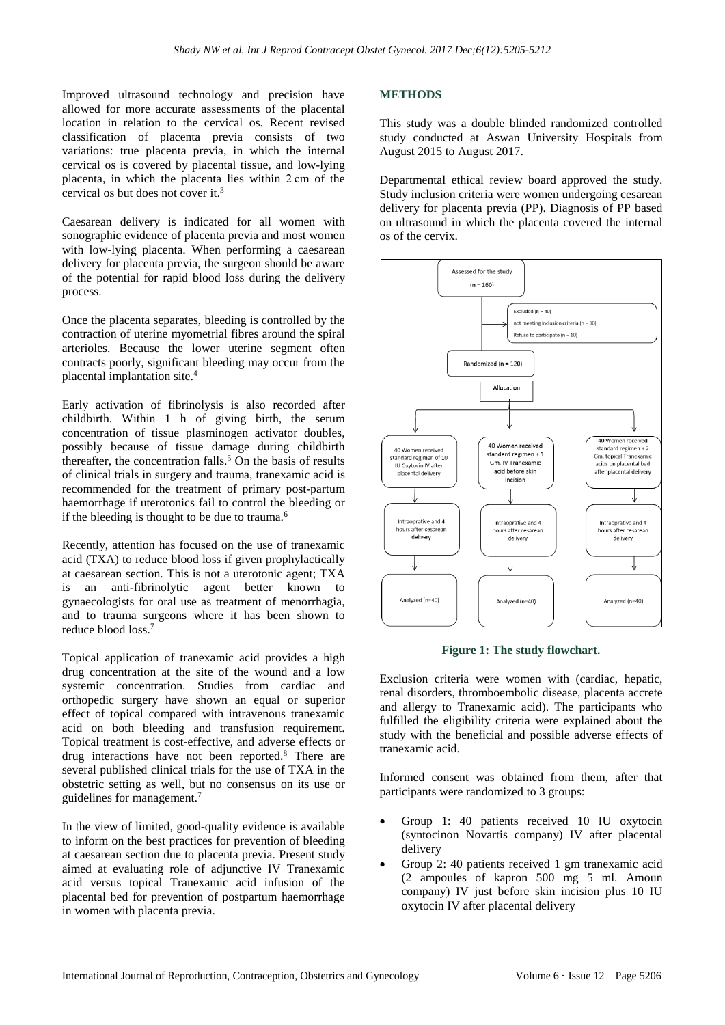Improved ultrasound technology and precision have allowed for more accurate assessments of the placental location in relation to the cervical os. Recent revised classification of placenta previa consists of two variations: true placenta previa, in which the internal cervical os is covered by placental tissue, and low-lying placenta, in which the placenta lies within 2 cm of the cervical os but does not cover it.<sup>3</sup>

Caesarean delivery is indicated for all women with sonographic evidence of placenta previa and most women with low-lying placenta. When performing a caesarean delivery for placenta previa, the surgeon should be aware of the potential for rapid blood loss during the delivery process.

Once the placenta separates, bleeding is controlled by the contraction of uterine myometrial fibres around the spiral arterioles. Because the lower uterine segment often contracts poorly, significant bleeding may occur from the placental implantation site.<sup>4</sup>

Early activation of fibrinolysis is also recorded after childbirth. Within 1 h of giving birth, the serum concentration of tissue plasminogen activator doubles, possibly because of tissue damage during childbirth thereafter, the concentration falls.<sup>5</sup> On the basis of results of clinical trials in surgery and trauma, tranexamic acid is recommended for the treatment of primary post-partum haemorrhage if uterotonics fail to control the bleeding or if the bleeding is thought to be due to trauma.<sup>6</sup>

Recently, attention has focused on the use of tranexamic acid (TXA) to reduce blood loss if given prophylactically at caesarean section. This is not a uterotonic agent; TXA is an anti-fibrinolytic agent better known to gynaecologists for oral use as treatment of menorrhagia, and to trauma surgeons where it has been shown to reduce blood loss.<sup>7</sup>

Topical application of tranexamic acid provides a high drug concentration at the site of the wound and a low systemic concentration. Studies from cardiac and orthopedic surgery have shown an equal or superior effect of topical compared with intravenous tranexamic acid on both bleeding and transfusion requirement. Topical treatment is cost-effective, and adverse effects or drug interactions have not been reported.<sup>8</sup> There are several published clinical trials for the use of TXA in the obstetric setting as well, but no consensus on its use or guidelines for management.<sup>7</sup>

In the view of limited, good-quality evidence is available to inform on the best practices for prevention of bleeding at caesarean section due to placenta previa. Present study aimed at evaluating role of adjunctive IV Tranexamic acid versus topical Tranexamic acid infusion of the placental bed for prevention of postpartum haemorrhage in women with placenta previa.

## **METHODS**

This study was a double blinded randomized controlled study conducted at Aswan University Hospitals from August 2015 to August 2017.

Departmental ethical review board approved the study. Study inclusion criteria were women undergoing cesarean delivery for placenta previa (PP). Diagnosis of PP based on ultrasound in which the placenta covered the internal os of the cervix.



**Figure 1: The study flowchart.**

Exclusion criteria were women with (cardiac, hepatic, renal disorders, thromboembolic disease, placenta accrete and allergy to Tranexamic acid). The participants who fulfilled the eligibility criteria were explained about the study with the beneficial and possible adverse effects of tranexamic acid.

Informed consent was obtained from them, after that participants were randomized to 3 groups:

- Group 1: 40 patients received 10 IU oxytocin (syntocinon Novartis company) IV after placental delivery
- Group 2: 40 patients received 1 gm tranexamic acid (2 ampoules of kapron 500 mg 5 ml. Amoun company) IV just before skin incision plus 10 IU oxytocin IV after placental delivery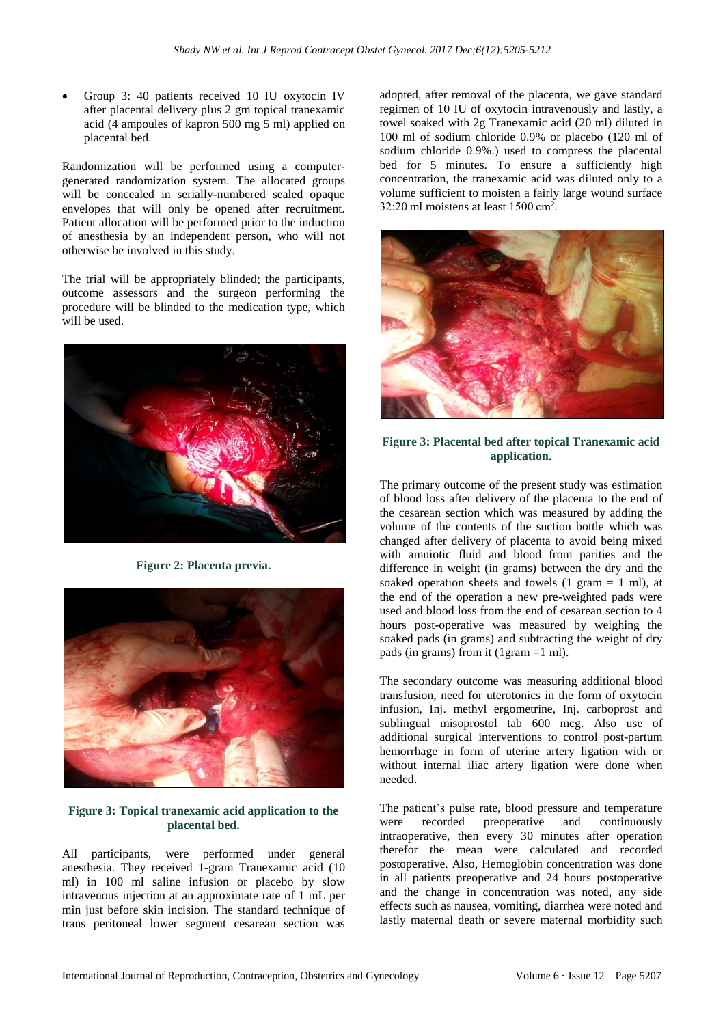• Group 3: 40 patients received 10 IU oxytocin IV after placental delivery plus 2 gm topical tranexamic acid (4 ampoules of kapron 500 mg 5 ml) applied on placental bed.

Randomization will be performed using a computergenerated randomization system. The allocated groups will be concealed in serially-numbered sealed opaque envelopes that will only be opened after recruitment. Patient allocation will be performed prior to the induction of anesthesia by an independent person, who will not otherwise be involved in this study.

The trial will be appropriately blinded; the participants, outcome assessors and the surgeon performing the procedure will be blinded to the medication type, which will be used.



**Figure 2: Placenta previa.**



### **Figure 3: Topical tranexamic acid application to the placental bed.**

All participants, were performed under general anesthesia. They received 1-gram Tranexamic acid (10 ml) in 100 ml saline infusion or placebo by slow intravenous injection at an approximate rate of 1 mL per min just before skin incision. The standard technique of trans peritoneal lower segment cesarean section was adopted, after removal of the placenta, we gave standard regimen of 10 IU of oxytocin intravenously and lastly, a towel soaked with 2g Tranexamic acid (20 ml) diluted in 100 ml of sodium chloride 0.9% or placebo (120 ml of sodium chloride 0.9%.) used to compress the placental bed for 5 minutes. To ensure a sufficiently high concentration, the tranexamic acid was diluted only to a volume sufficient to moisten a fairly large wound surface 32:20 ml moistens at least 1500 cm<sup>2</sup> .



#### **Figure 3: Placental bed after topical Tranexamic acid application.**

The primary outcome of the present study was estimation of blood loss after delivery of the placenta to the end of the cesarean section which was measured by adding the volume of the contents of the suction bottle which was changed after delivery of placenta to avoid being mixed with amniotic fluid and blood from parities and the difference in weight (in grams) between the dry and the soaked operation sheets and towels  $(1 \text{ gram} = 1 \text{ ml})$ , at the end of the operation a new pre-weighted pads were used and blood loss from the end of cesarean section to 4 hours post-operative was measured by weighing the soaked pads (in grams) and subtracting the weight of dry pads (in grams) from it (1gram =1 ml).

The secondary outcome was measuring additional blood transfusion, need for uterotonics in the form of oxytocin infusion, Inj. methyl ergometrine, Inj. carboprost and sublingual misoprostol tab 600 mcg. Also use of additional surgical interventions to control post-partum hemorrhage in form of uterine artery ligation with or without internal iliac artery ligation were done when needed.

The patient's pulse rate, blood pressure and temperature were recorded preoperative and continuously intraoperative, then every 30 minutes after operation therefor the mean were calculated and recorded postoperative. Also, Hemoglobin concentration was done in all patients preoperative and 24 hours postoperative and the change in concentration was noted, any side effects such as nausea, vomiting, diarrhea were noted and lastly maternal death or severe maternal morbidity such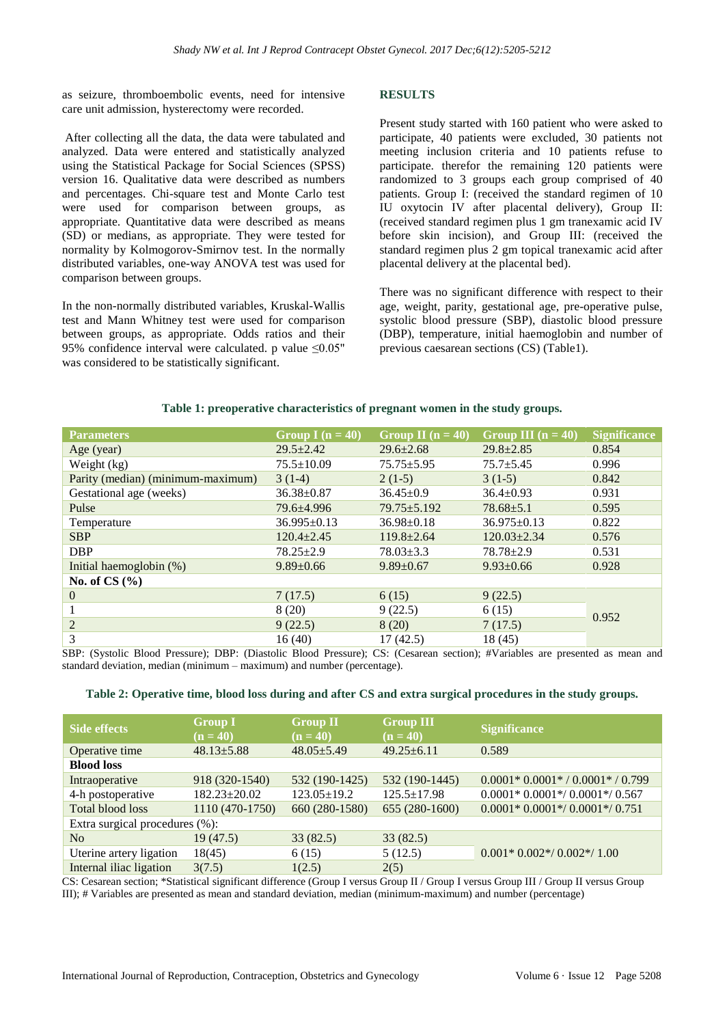as seizure, thromboembolic events, need for intensive care unit admission, hysterectomy were recorded.

After collecting all the data, the data were tabulated and analyzed. Data were entered and statistically analyzed using the Statistical Package for Social Sciences (SPSS) version 16. Qualitative data were described as numbers and percentages. Chi-square test and Monte Carlo test were used for comparison between groups, as appropriate. Quantitative data were described as means (SD) or medians, as appropriate. They were tested for normality by Kolmogorov-Smirnov test. In the normally distributed variables, one-way ANOVA test was used for comparison between groups.

In the non-normally distributed variables, Kruskal-Wallis test and Mann Whitney test were used for comparison between groups, as appropriate. Odds ratios and their 95% confidence interval were calculated. p value ≤0.05" was considered to be statistically significant.

## **RESULTS**

Present study started with 160 patient who were asked to participate, 40 patients were excluded, 30 patients not meeting inclusion criteria and 10 patients refuse to participate. therefor the remaining 120 patients were randomized to 3 groups each group comprised of 40 patients. Group I: (received the standard regimen of 10 IU oxytocin IV after placental delivery), Group II: (received standard regimen plus 1 gm tranexamic acid IV before skin incision), and Group III: (received the standard regimen plus 2 gm topical tranexamic acid after placental delivery at the placental bed).

There was no significant difference with respect to their age, weight, parity, gestational age, pre-operative pulse, systolic blood pressure (SBP), diastolic blood pressure (DBP), temperature, initial haemoglobin and number of previous caesarean sections (CS) (Table1).

|  | Table 1: preoperative characteristics of pregnant women in the study groups. |  |  |
|--|------------------------------------------------------------------------------|--|--|
|  |                                                                              |  |  |

| <b>Parameters</b>                 | Group I ( $n = 40$ ) | Group II $(n = 40)$ | Group III $(n = 40)$ | <b>Significance</b> |  |
|-----------------------------------|----------------------|---------------------|----------------------|---------------------|--|
| Age (year)                        | $29.5 \pm 2.42$      | $29.6 \pm 2.68$     | $29.8 \pm 2.85$      | 0.854               |  |
| Weight (kg)                       | $75.5 \pm 10.09$     | $75.75 \pm 5.95$    | $75.7 + 5.45$        | 0.996               |  |
| Parity (median) (minimum-maximum) | $3(1-4)$             | $2(1-5)$            | $3(1-5)$             | 0.842               |  |
| Gestational age (weeks)           | $36.38 \pm 0.87$     | $36.45 \pm 0.9$     | $36.4 \pm 0.93$      | 0.931               |  |
| Pulse                             | 79.6±4.996           | $79.75 \pm 5.192$   | $78.68 \pm 5.1$      | 0.595               |  |
| Temperature                       | $36.995 \pm 0.13$    | $36.98 \pm 0.18$    | $36.975 \pm 0.13$    | 0.822               |  |
| <b>SBP</b>                        | $120.4 \pm 2.45$     | $119.8 \pm 2.64$    | $120.03 \pm 2.34$    | 0.576               |  |
| <b>DBP</b>                        | $78.25 \pm 2.9$      | $78.03 \pm 3.3$     | $78.78 \pm 2.9$      | 0.531               |  |
| Initial haemoglobin (%)           | $9.89 \pm 0.66$      | $9.89 \pm 0.67$     | $9.93 \pm 0.66$      | 0.928               |  |
| No. of CS $(\% )$                 |                      |                     |                      |                     |  |
| $\overline{0}$                    | 7(17.5)              | 6(15)               | 9(22.5)              |                     |  |
|                                   | 8(20)                | 9(22.5)             | 6(15)                | 0.952               |  |
| $\overline{c}$                    | 9(22.5)              | 8(20)               | 7(17.5)              |                     |  |
| 3                                 | 16(40)               | 17(42.5)            | 18 (45)              |                     |  |

SBP: (Systolic Blood Pressure); DBP: (Diastolic Blood Pressure); CS: (Cesarean section); #Variables are presented as mean and standard deviation, median (minimum – maximum) and number (percentage).

| Table 2: Operative time, blood loss during and after CS and extra surgical procedures in the study groups. |  |  |  |  |  |  |  |
|------------------------------------------------------------------------------------------------------------|--|--|--|--|--|--|--|
|------------------------------------------------------------------------------------------------------------|--|--|--|--|--|--|--|

| <b>Side effects</b>            | <b>Group I</b><br>$(n = 40)$ | <b>Group II</b><br>$(n = 40)$ | <b>Group III</b><br>$(n = 40)$ | <b>Significance</b>                    |  |
|--------------------------------|------------------------------|-------------------------------|--------------------------------|----------------------------------------|--|
| Operative time                 | $48.13 \pm 5.88$             | $48.05 \pm 5.49$              | $49.25 \pm 6.11$               | 0.589                                  |  |
| <b>Blood loss</b>              |                              |                               |                                |                                        |  |
| Intraoperative                 | 918 (320-1540)               | 532 (190-1425)                | 532 (190-1445)                 | $0.0001 * 0.0001 * / 0.0001 * / 0.799$ |  |
| 4-h postoperative              | $182.23 \pm 20.02$           | $123.05 \pm 19.2$             | $125.5 \pm 17.98$              | $0.0001*0.0001*/0.0001*/0.567$         |  |
| Total blood loss               | 1110 (470-1750)              | 660 (280-1580)                | 655 (280-1600)                 | $0.0001*0.0001*/0.0001*/0.751$         |  |
| Extra surgical procedures (%): |                              |                               |                                |                                        |  |
| N <sub>0</sub>                 | 19(47.5)                     | 33(82.5)                      | 33(82.5)                       |                                        |  |
| Uterine artery ligation        | 18(45)                       | 6(15)                         | 5(12.5)                        | $0.001*0.002*/0.002*/1.00$             |  |
| Internal iliac ligation        | 3(7.5)                       | 1(2.5)                        | 2(5)                           |                                        |  |

CS: Cesarean section; \*Statistical significant difference (Group I versus Group II / Group I versus Group III / Group II versus Group III); # Variables are presented as mean and standard deviation, median (minimum-maximum) and number (percentage)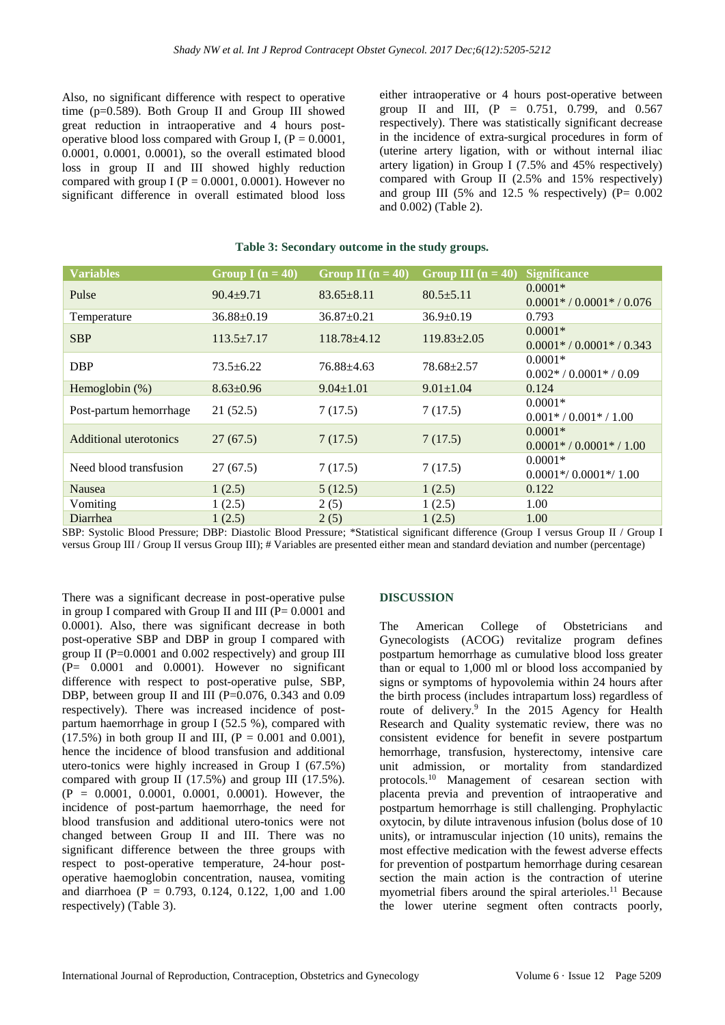Also, no significant difference with respect to operative time (p=0.589). Both Group II and Group III showed great reduction in intraoperative and 4 hours postoperative blood loss compared with Group I,  $(P = 0.0001$ , 0.0001, 0.0001, 0.0001), so the overall estimated blood loss in group II and III showed highly reduction compared with group I ( $P = 0.0001, 0.0001$ ). However no significant difference in overall estimated blood loss either intraoperative or 4 hours post-operative between group II and III, (P = 0.751, 0.799, and 0.567 respectively). There was statistically significant decrease in the incidence of extra-surgical procedures in form of (uterine artery ligation, with or without internal iliac artery ligation) in Group I (7.5% and 45% respectively) compared with Group II (2.5% and 15% respectively) and group III (5% and 12.5 % respectively)  $(P= 0.002$ and 0.002) (Table 2).

| <b>Variables</b>       | Group I $(n = 40)$ | Group II $(n = 40)$ | Group III $(n = 40)$ | <b>Significance</b>         |
|------------------------|--------------------|---------------------|----------------------|-----------------------------|
| Pulse                  | $90.4 + 9.71$      |                     | $80.5 \pm 5.11$      | $0.0001*$                   |
|                        |                    | $83.65 \pm 8.11$    |                      | $0.0001* / 0.0001* / 0.076$ |
| Temperature            | $36.88 \pm 0.19$   | $36.87 \pm 0.21$    | $36.9 \pm 0.19$      | 0.793                       |
|                        |                    | $118.78 + 4.12$     | $119.83 \pm 2.05$    | $0.0001*$                   |
| <b>SBP</b>             | $113.5 \pm 7.17$   |                     |                      | $0.0001* / 0.0001* / 0.343$ |
|                        |                    |                     |                      | $0.0001*$                   |
| <b>DBP</b>             | $73.5 \pm 6.22$    | 76.88 + 4.63        | $78.68 + 2.57$       | $0.002* / 0.0001* / 0.09$   |
| Hemoglobin $(\%)$      | $8.63 \pm 0.96$    | $9.04 \pm 1.01$     | $9.01 \pm 1.04$      | 0.124                       |
|                        |                    |                     |                      | $0.0001*$                   |
| Post-partum hemorrhage | 21(52.5)           | 7(17.5)             | 7(17.5)              | $0.001* / 0.001* / 1.00$    |
| Additional uterotonics |                    |                     |                      | $0.0001*$                   |
|                        | 27(67.5)           | 7(17.5)             | 7(17.5)              | $0.0001* / 0.0001* / 1.00$  |
|                        | 27(67.5)           | 7(17.5)             | 7(17.5)              | $0.0001*$                   |
| Need blood transfusion |                    |                     |                      | $0.0001*/0.0001*/1.00$      |
| <b>Nausea</b>          | 1(2.5)             | 5(12.5)             | 1(2.5)               | 0.122                       |
| Vomiting               | 1(2.5)             | 2(5)                | 1(2.5)               | 1.00                        |
| Diarrhea               | 1(2.5)             | 2(5)                | 1(2.5)               | 1.00                        |
|                        |                    |                     |                      |                             |

#### **Table 3: Secondary outcome in the study groups.**

SBP: Systolic Blood Pressure; DBP: Diastolic Blood Pressure; \*Statistical significant difference (Group I versus Group II / Group I versus Group III / Group II versus Group III); # Variables are presented either mean and standard deviation and number (percentage)

There was a significant decrease in post-operative pulse in group I compared with Group II and III  $(P= 0.0001$  and 0.0001). Also, there was significant decrease in both post-operative SBP and DBP in group I compared with group II ( $P=0.0001$  and 0.002 respectively) and group III (P= 0.0001 and 0.0001). However no significant difference with respect to post-operative pulse, SBP, DBP, between group II and III ( $P=0.076$ , 0.343 and 0.09 respectively). There was increased incidence of postpartum haemorrhage in group I (52.5 %), compared with  $(17.5\%)$  in both group II and III,  $(P = 0.001$  and 0.001), hence the incidence of blood transfusion and additional utero-tonics were highly increased in Group I (67.5%) compared with group II  $(17.5%)$  and group III  $(17.5%)$ .  $(P = 0.0001, 0.0001, 0.0001, 0.0001)$ . However, the incidence of post-partum haemorrhage, the need for blood transfusion and additional utero-tonics were not changed between Group II and III. There was no significant difference between the three groups with respect to post-operative temperature, 24-hour postoperative haemoglobin concentration, nausea, vomiting and diarrhoea ( $P = 0.793$ , 0.124, 0.122, 1,00 and 1.00 respectively) (Table 3).

#### **DISCUSSION**

The American College of Obstetricians and Gynecologists (ACOG) revitalize program defines postpartum hemorrhage as cumulative blood loss greater than or equal to 1,000 ml or blood loss accompanied by signs or symptoms of hypovolemia within 24 hours after the birth process (includes intrapartum loss) regardless of route of delivery.<sup>9</sup> In the 2015 Agency for Health Research and Quality systematic review, there was no consistent evidence for benefit in severe postpartum hemorrhage, transfusion, hysterectomy, intensive care unit admission, or mortality from standardized protocols.<sup>10</sup> Management of cesarean section with placenta previa and prevention of intraoperative and postpartum hemorrhage is still challenging. Prophylactic oxytocin, by dilute intravenous infusion (bolus dose of 10 units), or intramuscular injection (10 units), remains the most effective medication with the fewest adverse effects for prevention of postpartum hemorrhage during cesarean section the main action is the contraction of uterine myometrial fibers around the spiral arterioles.<sup>11</sup> Because the lower uterine segment often contracts poorly,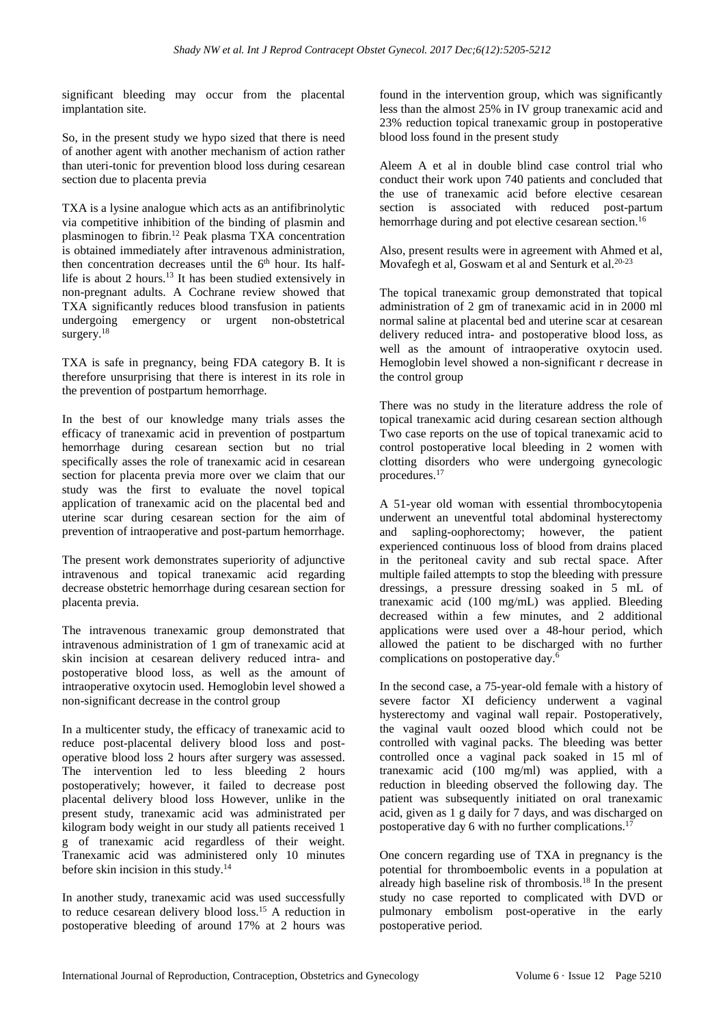significant bleeding may occur from the placental implantation site.

So, in the present study we hypo sized that there is need of another agent with another mechanism of action rather than uteri-tonic for prevention blood loss during cesarean section due to placenta previa

TXA is a lysine analogue which acts as an antifibrinolytic via competitive inhibition of the binding of plasmin and plasminogen to fibrin.<sup>12</sup> Peak plasma TXA concentration is obtained immediately after intravenous administration, then concentration decreases until the 6<sup>th</sup> hour. Its halflife is about 2 hours.<sup>13</sup> It has been studied extensively in non-pregnant adults. A Cochrane review showed that TXA significantly reduces blood transfusion in patients undergoing emergency or urgent non-obstetrical surgery.<sup>18</sup>

TXA is safe in pregnancy, being FDA category B. It is therefore unsurprising that there is interest in its role in the prevention of postpartum hemorrhage.

In the best of our knowledge many trials asses the efficacy of tranexamic acid in prevention of postpartum hemorrhage during cesarean section but no trial specifically asses the role of tranexamic acid in cesarean section for placenta previa more over we claim that our study was the first to evaluate the novel topical application of tranexamic acid on the placental bed and uterine scar during cesarean section for the aim of prevention of intraoperative and post-partum hemorrhage.

The present work demonstrates superiority of adjunctive intravenous and topical tranexamic acid regarding decrease obstetric hemorrhage during cesarean section for placenta previa.

The intravenous tranexamic group demonstrated that intravenous administration of 1 gm of tranexamic acid at skin incision at cesarean delivery reduced intra- and postoperative blood loss, as well as the amount of intraoperative oxytocin used. Hemoglobin level showed a non-significant decrease in the control group

In a multicenter study, the efficacy of tranexamic acid to reduce post-placental delivery blood loss and postoperative blood loss 2 hours after surgery was assessed. The intervention led to less bleeding 2 hours postoperatively; however, it failed to decrease post placental delivery blood loss However, unlike in the present study, tranexamic acid was administrated per kilogram body weight in our study all patients received 1 g of tranexamic acid regardless of their weight. Tranexamic acid was administered only 10 minutes before skin incision in this study. 14

In another study, tranexamic acid was used successfully to reduce cesarean delivery blood loss.<sup>15</sup> A reduction in postoperative bleeding of around 17% at 2 hours was found in the intervention group, which was significantly less than the almost 25% in IV group tranexamic acid and 23% reduction topical tranexamic group in postoperative blood loss found in the present study

Aleem A et al in double blind case control trial who conduct their work upon 740 patients and concluded that the use of tranexamic acid before elective cesarean section is associated with reduced post-partum hemorrhage during and pot elective cesarean section.<sup>16</sup>

Also, present results were in agreement with Ahmed et al, Movafegh et al, Goswam et al and Senturk et al.<sup>20-23</sup>

The topical tranexamic group demonstrated that topical administration of 2 gm of tranexamic acid in in 2000 ml normal saline at placental bed and uterine scar at cesarean delivery reduced intra- and postoperative blood loss, as well as the amount of intraoperative oxytocin used. Hemoglobin level showed a non-significant r decrease in the control group

There was no study in the literature address the role of topical tranexamic acid during cesarean section although Two case reports on the use of topical tranexamic acid to control postoperative local bleeding in 2 women with clotting disorders who were undergoing gynecologic procedures. 17

A 51-year old woman with essential thrombocytopenia underwent an uneventful total abdominal hysterectomy and sapling-oophorectomy; however, the patient experienced continuous loss of blood from drains placed in the peritoneal cavity and sub rectal space. After multiple failed attempts to stop the bleeding with pressure dressings, a pressure dressing soaked in 5 mL of tranexamic acid (100 mg/mL) was applied. Bleeding decreased within a few minutes, and 2 additional applications were used over a 48-hour period, which allowed the patient to be discharged with no further complications on postoperative day.<sup>6</sup>

In the second case, a 75-year-old female with a history of severe factor XI deficiency underwent a vaginal hysterectomy and vaginal wall repair. Postoperatively, the vaginal vault oozed blood which could not be controlled with vaginal packs. The bleeding was better controlled once a vaginal pack soaked in 15 ml of tranexamic acid (100 mg/ml) was applied, with a reduction in bleeding observed the following day. The patient was subsequently initiated on oral tranexamic acid, given as 1 g daily for 7 days, and was discharged on postoperative day 6 with no further complications.<sup>17</sup>

One concern regarding use of TXA in pregnancy is the potential for thromboembolic events in a population at already high baseline risk of thrombosis.<sup>18</sup> In the present study no case reported to complicated with DVD or pulmonary embolism post-operative in the early postoperative period.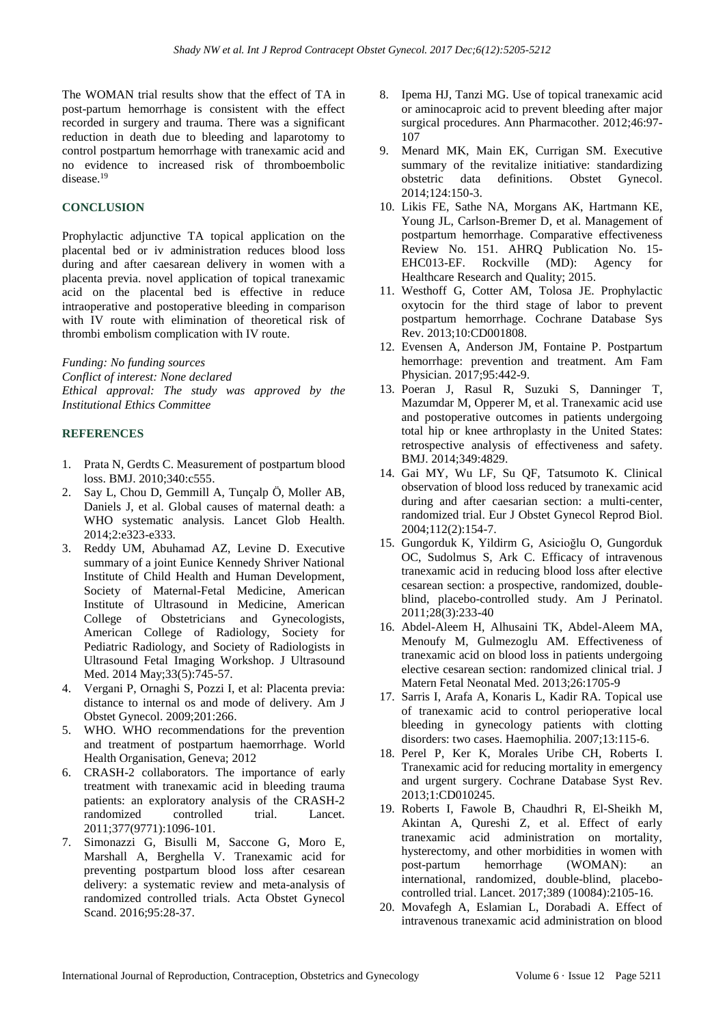The WOMAN trial results show that the effect of TA in post-partum hemorrhage is consistent with the effect recorded in surgery and trauma. There was a significant reduction in death due to bleeding and laparotomy to control postpartum hemorrhage with tranexamic acid and no evidence to increased risk of thromboembolic disease.<sup>19</sup>

## **CONCLUSION**

Prophylactic adjunctive TA topical application on the placental bed or iv administration reduces blood loss during and after caesarean delivery in women with a placenta previa. novel application of topical tranexamic acid on the placental bed is effective in reduce intraoperative and postoperative bleeding in comparison with IV route with elimination of theoretical risk of thrombi embolism complication with IV route.

*Funding: No funding sources*

*Conflict of interest: None declared*

*Ethical approval: The study was approved by the Institutional Ethics Committee*

## **REFERENCES**

- 1. Prata N, Gerdts C. Measurement of postpartum blood loss. BMJ. 2010;340:c555.
- 2. Say L, Chou D, Gemmill A, Tunçalp Ö, Moller AB, Daniels J, et al. Global causes of maternal death: a WHO systematic analysis. Lancet Glob Health. 2014;2:e323-e333.
- 3. Reddy UM, Abuhamad AZ, Levine D. Executive summary of a joint Eunice Kennedy Shriver National Institute of Child Health and Human Development, Society of Maternal-Fetal Medicine, American Institute of Ultrasound in Medicine, American College of Obstetricians and Gynecologists, American College of Radiology, Society for Pediatric Radiology, and Society of Radiologists in Ultrasound Fetal Imaging Workshop. J Ultrasound Med. 2014 May; 33(5): 745-57.
- 4. Vergani P, Ornaghi S, Pozzi I, et al: Placenta previa: distance to internal os and mode of delivery. Am J Obstet Gynecol. 2009;201:266.
- 5. WHO. WHO recommendations for the prevention and treatment of postpartum haemorrhage. World Health Organisation, Geneva; 2012
- 6. CRASH-2 collaborators. The importance of early treatment with tranexamic acid in bleeding trauma patients: an exploratory analysis of the CRASH-2 randomized controlled trial. Lancet. 2011;377(9771):1096-101.
- 7. Simonazzi G, Bisulli M, Saccone G, Moro E, Marshall A, Berghella V. Tranexamic acid for preventing postpartum blood loss after cesarean delivery: a systematic review and meta-analysis of randomized controlled trials. Acta Obstet Gynecol Scand. 2016;95:28-37.
- 8. Ipema HJ, Tanzi MG. Use of topical tranexamic acid or aminocaproic acid to prevent bleeding after major surgical procedures. Ann Pharmacother. 2012;46:97- 107
- 9. Menard MK, Main EK, Currigan SM. Executive summary of the revitalize initiative: standardizing obstetric data definitions. Obstet Gynecol. 2014;124:150-3.
- 10. Likis FE, Sathe NA, Morgans AK, Hartmann KE, Young JL, Carlson-Bremer D, et al. Management of postpartum hemorrhage. Comparative effectiveness Review No. 151. AHRQ Publication No. 15- EHC013-EF. Rockville (MD): Agency for Healthcare Research and Quality; 2015.
- 11. Westhoff G, Cotter AM, Tolosa JE. Prophylactic oxytocin for the third stage of labor to prevent postpartum hemorrhage. Cochrane Database Sys Rev. 2013;10:CD001808.
- 12. Evensen A, Anderson JM, Fontaine P. Postpartum hemorrhage: prevention and treatment. Am Fam Physician. 2017;95:442-9.
- 13. Poeran J, Rasul R, Suzuki S, Danninger T, Mazumdar M, Opperer M, et al. Tranexamic acid use and postoperative outcomes in patients undergoing total hip or knee arthroplasty in the United States: retrospective analysis of effectiveness and safety. BMJ. 2014;349:4829.
- 14. Gai MY, Wu LF, Su QF, Tatsumoto K. Clinical observation of blood loss reduced by tranexamic acid during and after caesarian section: a multi-center, randomized trial. Eur J Obstet Gynecol Reprod Biol. 2004;112(2):154-7.
- 15. Gungorduk K, Yildirm G, Asicioğlu O, Gungorduk OC, Sudolmus S, Ark C. Efficacy of intravenous tranexamic acid in reducing blood loss after elective cesarean section: a prospective, randomized, doubleblind, placebo-controlled study. Am J Perinatol. 2011;28(3):233-40
- 16. Abdel-Aleem H, Alhusaini TK, Abdel-Aleem MA, Menoufy M, Gulmezoglu AM. Effectiveness of tranexamic acid on blood loss in patients undergoing elective cesarean section: randomized clinical trial. J Matern Fetal Neonatal Med. 2013;26:1705-9
- 17. Sarris I, Arafa A, Konaris L, Kadir RA. Topical use of tranexamic acid to control perioperative local bleeding in gynecology patients with clotting disorders: two cases. Haemophilia. 2007;13:115-6.
- 18. Perel P, Ker K, Morales Uribe CH, Roberts I. Tranexamic acid for reducing mortality in emergency and urgent surgery. Cochrane Database Syst Rev. 2013;1:CD010245.
- 19. Roberts I, Fawole B, Chaudhri R, El-Sheikh M, Akintan A, Qureshi Z, et al. Effect of early tranexamic acid administration on mortality, hysterectomy, and other morbidities in women with post-partum hemorrhage (WOMAN): an international, randomized, double-blind, placebocontrolled trial. Lancet. 2017;389 (10084):2105-16.
- 20. Movafegh A, Eslamian L, Dorabadi A. Effect of intravenous tranexamic acid administration on blood